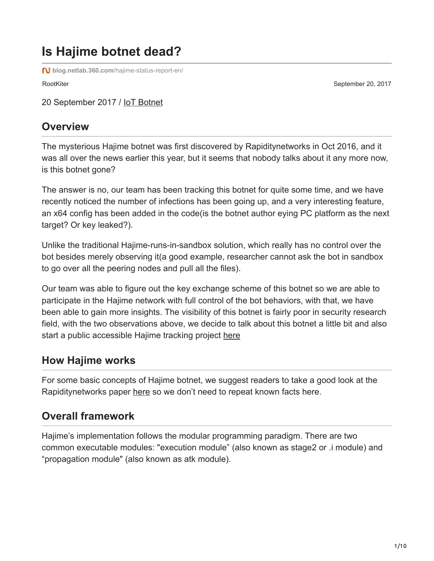# **Is Hajime botnet dead?**

**blog.netlab.360.com**[/hajime-status-report-en/](http://blog.netlab.360.com/hajime-status-report-en/)

RootKiter September 20, 2017

20 September 2017 / [IoT Botnet](http://blog.netlab.360.com/tag/iot-botnet/)

#### **Overview**

The mysterious Hajime botnet was first discovered by Rapiditynetworks in Oct 2016, and it was all over the news earlier this year, but it seems that nobody talks about it any more now, is this botnet gone?

The answer is no, our team has been tracking this botnet for quite some time, and we have recently noticed the number of infections has been going up, and a very interesting feature, an x64 config has been added in the code(is the botnet author eying PC platform as the next target? Or key leaked?).

Unlike the traditional Hajime-runs-in-sandbox solution, which really has no control over the bot besides merely observing it(a good example, researcher cannot ask the bot in sandbox to go over all the peering nodes and pull all the files).

Our team was able to figure out the key exchange scheme of this botnet so we are able to participate in the Hajime network with full control of the bot behaviors, with that, we have been able to gain more insights. The visibility of this botnet is fairly poor in security research field, with the two observations above, we decide to talk about this botnet a little bit and also start a public accessible Hajime tracking project [here](http://data.netlab.360.com/hajime/)

#### **How Hajime works**

For some basic concepts of Hajime botnet, we suggest readers to take a good look at the Rapiditynetworks paper [here](https://security.rapiditynetworks.com/publications/2016-10-16/hajime.pdf) so we don't need to repeat known facts here.

#### **Overall framework**

Hajime's implementation follows the modular programming paradigm. There are two common executable modules: "execution module" (also known as stage2 or .i module) and "propagation module" (also known as atk module).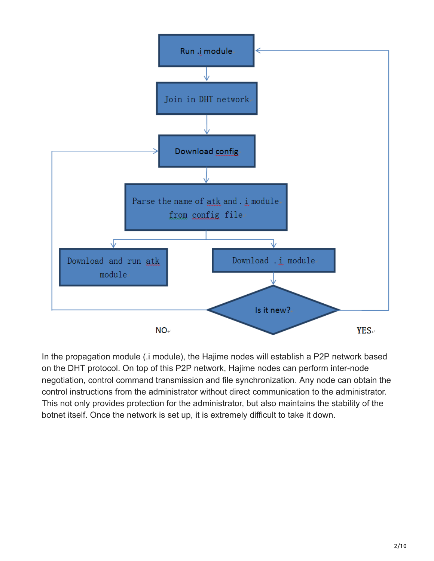

In the propagation module (.i module), the Hajime nodes will establish a P2P network based on the DHT protocol. On top of this P2P network, Hajime nodes can perform inter-node negotiation, control command transmission and file synchronization. Any node can obtain the control instructions from the administrator without direct communication to the administrator. This not only provides protection for the administrator, but also maintains the stability of the botnet itself. Once the network is set up, it is extremely difficult to take it down.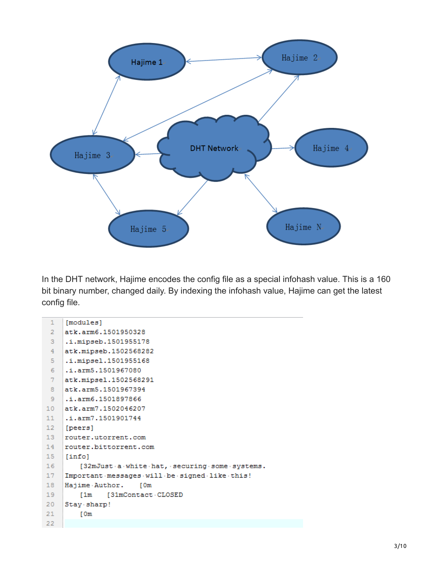

In the DHT network, Hajime encodes the config file as a special infohash value. This is a 160 bit binary number, changed daily. By indexing the infohash value, Hajime can get the latest config file.

| $\mathbf{1}$    | [modules]                                    |
|-----------------|----------------------------------------------|
| $\overline{2}$  | atk.arm6.1501950328                          |
| 3               | .i.mipseb.1501955178                         |
| $\overline{4}$  | atk.mipseb.1502568282                        |
| 5.              | .i.mipsel.1501955168                         |
| 6               | .i.arm5.1501967080                           |
| 7               | atk.mipsel.1502568291                        |
| 8               | atk.arm5.1501967394                          |
| 9               | .i.arm6.1501897866                           |
| 10 <sub>1</sub> | atk.arm7.1502046207                          |
| 11              | .i.arm7.1501901744                           |
| $12-12$         | [peers]                                      |
| 13 <sup>1</sup> | router.utorrent.com                          |
| 14              | router.bittorrent.com                        |
| 15 <sub>1</sub> | [info]                                       |
| 16              | [32mJust a white hat, securing some systems. |
| 17              | Important messages will be signed like this! |
| 18              | Hajime Author.<br>I 0m                       |
| 19              | [31mContact CLOSED<br>I1m                    |
| 20              | Stay sharp!                                  |
| 21              | r 0m                                         |
| 22              |                                              |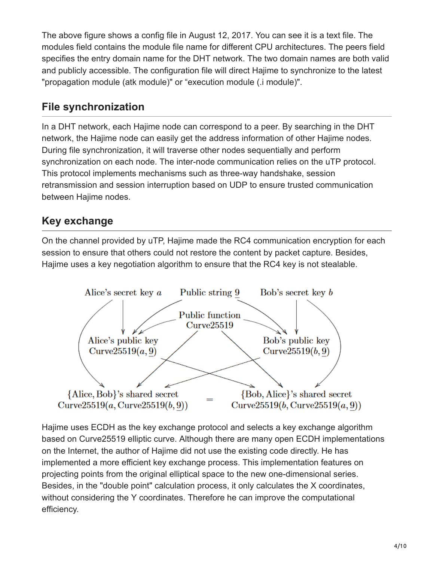The above figure shows a config file in August 12, 2017. You can see it is a text file. The modules field contains the module file name for different CPU architectures. The peers field specifies the entry domain name for the DHT network. The two domain names are both valid and publicly accessible. The configuration file will direct Hajime to synchronize to the latest "propagation module (atk module)" or "execution module (.i module)".

#### **File synchronization**

In a DHT network, each Hajime node can correspond to a peer. By searching in the DHT network, the Hajime node can easily get the address information of other Hajime nodes. During file synchronization, it will traverse other nodes sequentially and perform synchronization on each node. The inter-node communication relies on the uTP protocol. This protocol implements mechanisms such as three-way handshake, session retransmission and session interruption based on UDP to ensure trusted communication between Hajime nodes.

## **Key exchange**

On the channel provided by uTP, Hajime made the RC4 communication encryption for each session to ensure that others could not restore the content by packet capture. Besides, Hajime uses a key negotiation algorithm to ensure that the RC4 key is not stealable.



Hajime uses ECDH as the key exchange protocol and selects a key exchange algorithm based on Curve25519 elliptic curve. Although there are many open ECDH implementations on the Internet, the author of Hajime did not use the existing code directly. He has implemented a more efficient key exchange process. This implementation features on projecting points from the original elliptical space to the new one-dimensional series. Besides, in the "double point" calculation process, it only calculates the X coordinates, without considering the Y coordinates. Therefore he can improve the computational efficiency.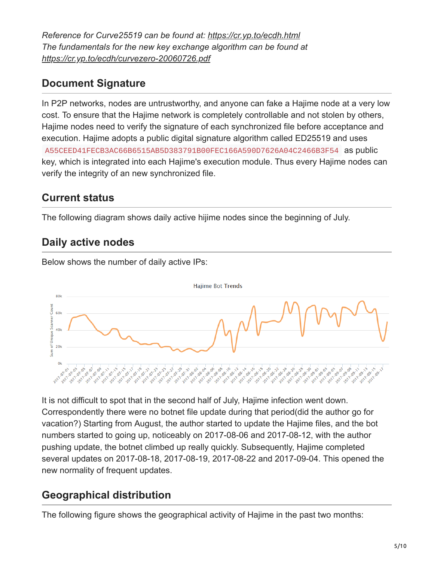*Reference for Curve25519 can be found at: <https://cr.yp.to/ecdh.html> The fundamentals for the new key exchange algorithm can be found at <https://cr.yp.to/ecdh/curvezero-20060726.pdf>*

#### **Document Signature**

In P2P networks, nodes are untrustworthy, and anyone can fake a Hajime node at a very low cost. To ensure that the Hajime network is completely controllable and not stolen by others, Hajime nodes need to verify the signature of each synchronized file before acceptance and execution. Hajime adopts a public digital signature algorithm called ED25519 and uses A55CEED41FECB3AC66B6515AB5D383791B00FEC166A590D7626A04C2466B3F54 as public key, which is integrated into each Hajime's execution module. Thus every Hajime nodes can verify the integrity of an new synchronized file.

#### **Current status**

The following diagram shows daily active hijime nodes since the beginning of July.

#### **Daily active nodes**



Below shows the number of daily active IPs:

It is not difficult to spot that in the second half of July, Hajime infection went down. Correspondently there were no botnet file update during that period(did the author go for vacation?) Starting from August, the author started to update the Hajime files, and the bot numbers started to going up, noticeably on 2017-08-06 and 2017-08-12, with the author pushing update, the botnet climbed up really quickly. Subsequently, Hajime completed several updates on 2017-08-18, 2017-08-19, 2017-08-22 and 2017-09-04. This opened the new normality of frequent updates.

#### **Geographical distribution**

The following figure shows the geographical activity of Hajime in the past two months: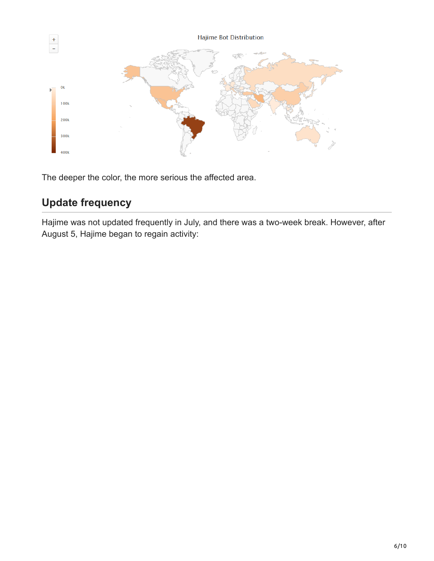

The deeper the color, the more serious the affected area.

## **Update frequency**

Hajime was not updated frequently in July, and there was a two-week break. However, after August 5, Hajime began to regain activity: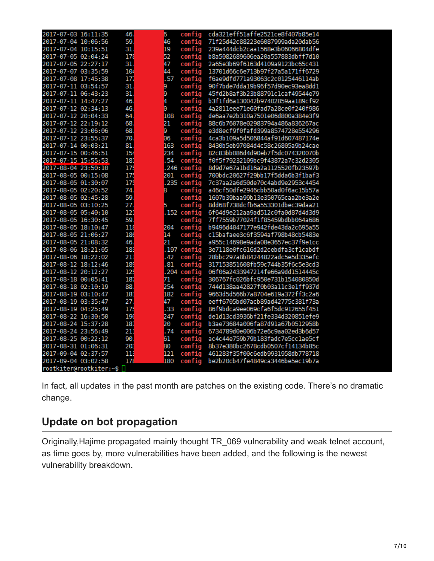| 2017-07-03 16:11:35     | 46. | 6             | config        | cda321eff51affe2521ce8f407b85e14 |
|-------------------------|-----|---------------|---------------|----------------------------------|
| 2017-07-04 10:06:56     | 59. | 46            | config        | 71f25d42c88223e6087999ada20dab56 |
| 2017-07-04 10:15:51     | 31  | 19            | config        | 239a444dcb2caa1568e3b06066804dfe |
| 2017-07-05 02:04:24     | 178 | 52            | config        | b8a5082689606ea20a557883dbff7d10 |
| 2017-07-05 22:27:17     | 31  | 47            | config        | 2a65e3b69f6163d4109a9123bc65c431 |
| 2017-07-07 03:35:59     | 104 | 44            | config        | 13701d66c6e713b97f27a5a171ff6729 |
| 2017-07-08 17:45:38     | 177 | .57           | config        | f6ae9dfd771a93063c2c0125446114ab |
| 2017-07-11 03:54:57     | 31  | 9             | config        | 90f7bde7dda19b96f57d90ec93ea8dd1 |
| 2017-07-11 06:43:23     | 31  | ğ             | config        | 45fd2b8af3b23b88791c1caf49544e79 |
| 2017-07-11 14:47:27     | 46. | $\frac{4}{9}$ | config        | b3f1fd6a130042b97402859aa189cf92 |
| 2017-07-12 02:34:13     | 46  |               | config        | 4a2811eee71e60fad7a28ce0f240f986 |
| 2017-07-12 20:04:33     | 64  | 108           | config        | de6aa7e2b310a7501e06d800a384e3f9 |
| 2017-07-12 22:19:12     | 68  | 21            | config        | 88c6b76078e02983794a486a836267ac |
| 2017-07-12 23:06:06     | 68  | 9             | config        | e3d8ecf9f0fafd399a8574728e554296 |
| 2017-07-12 23:55:37     | 70. | 06            | config        | 4ca3b109a5d506844af91d607487174e |
| 2017-07-14 00:03:21     | 81  | 163           | config        | 8430b5eb97084d4c58c26805a9b24cae |
| 2017-07-15 00:46:51     | 154 | 234           | config        | 82c83bb086d4d90eb7f5dc074320070b |
| 2017-07-15 15:55:53     | 181 | . 54          | config        | f0f5f79232109bc9f43872a7c32d2305 |
| 2017-08-04 23:50:10     | 175 |               | .246 config   | 8d9d7e67a1bd16a2a1125520fb23597b |
| 2017-08-05 00:15:08     | 175 | 201           | config        | 700bdc20627f29bb17f5dda6b3f1baf3 |
| 2017-08-05 01:30:07     | 175 |               | $.235$ config | 7c37aa2a6d50de70c4abd9e2953c4454 |
| 2017-08-05 02:20:52     | 74. | 8             | config        | a46cf50dfe2946cbb50ad0f6ac15b57a |
| 2017-08-05 02:45:28     | 59  |               | config        | 1607b39baa99b13e350765caa2be3a2e |
| 2017-08-05 03:10:25     | 27  | 5             | config        | 8dd68f738dcfb6a553301dbec39daa21 |
| 2017-08-05 05:40:10     | 121 |               | $.152$ config | 6f64d9e212aa9ad512c0fa0d87d4d3d9 |
| 2017-08-05 16:30:45     | 59  |               | config        | 7ff7559b77024f1f85459bdbb064a686 |
| 2017-08-05 18:10:47     | 118 | 204           | config        | b9496d4047177e942fde43da2c695a55 |
| 2017-08-05 21:06:27     | 186 | 14            | config        | c15bafaee3c6f3594af798b48cb5483e |
| 2017-08-05 21:08:32     | 46. | 21            | config        | a955c14698e9ada08e3657ec37f9e1cc |
| 2017-08-06 18:21:05     | 183 |               | .197 config   | 3e7118e0fc616d2d2cebdfa3cf1cabdf |
| 2017-08-06 18:22:02     | 211 | .42           | config        | 28bbc297a8b84244822adc5e5d335efc |
| 2017-08-12 18:12:46     | 189 | .81           | config        | 317153851608fb59c744b35f6c5e3cd3 |
| 2017-08-12 20:12:27     | 125 |               | $.204$ config | 06f06a2433947214fe66a9dd1514445c |
| 2017-08-18 00:05:41     | 187 | 71            | config        | 306767fc026bfc950e731b154080850d |
| 2017-08-18 02:10:19     | 88  | 254           | config        | 744d138aa42827f0b03a11c3e1ff937d |
| 2017-08-19 03:10:47     | 181 | 182           | config        | 9663d5d566b7a8704e619a372ff3c2a6 |
| 2017-08-19 03:35:47     | 27  | 47            | config        | eeff6705bd07acb89ad42775c381f73a |
| 2017-08-19 04:25:49     | 175 | .33           | config        | 86f9bdca9ee069cfa6f5dc912655f451 |
| 2017-08-22 16:30:50     | 196 | 247           | config        | deld13cd3936bf21fe334d320851efe9 |
| 2017-08-24 15:37:28     | 181 | 20            | config        | b3ae73684a006fa87d91a67b0512958b |
| 2017-08-24 23:56:49     | 211 | .74           | config        | 6734789d0e006b72e6c9aa02ed3b6d57 |
| 2017-08-25 00:22:12     | 90  | 61            | config        | ac4c44e759b79b183fadc7e5cclae5cf |
| 2017-08-31 01:06:31     | 203 | 80            | config        | 8b37e380bc2678cdb0507cf14134b85c |
| 2017-09-04 02:37:57     | 113 | 121           | config        | 461283f35f00c6edb9931958db778718 |
| 2017-09-04 03:02:58     | 178 | 180           | config        | be2b20cb47fe4849ca3446be5ec19b7a |
| rootkiter@rootkiter:~\$ |     |               |               |                                  |

In fact, all updates in the past month are patches on the existing code. There's no dramatic change.

#### **Update on bot propagation**

Originally,Hajime propagated mainly thought TR\_069 vulnerability and weak telnet account, as time goes by, more vulnerabilities have been added, and the following is the newest vulnerability breakdown.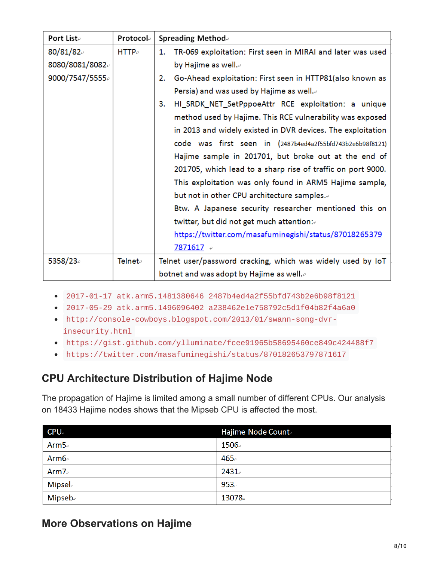| Port Liste     | Protocole  | <b>Spreading Method</b>                                           |  |  |
|----------------|------------|-------------------------------------------------------------------|--|--|
| 80/81/82       | $HTTP_{e}$ | TR-069 exploitation: First seen in MIRAI and later was used<br>1. |  |  |
| 8080/8081/8082 |            | by Hajime as well.⊌                                               |  |  |
| 9000/7547/5555 |            | Go-Ahead exploitation: First seen in HTTP81(also known as<br>2.   |  |  |
|                |            | Persia) and was used by Hajime as well. $e$                       |  |  |
|                |            | HI_SRDK_NET_SetPppoeAttr RCE exploitation: a unique<br>3.         |  |  |
|                |            | method used by Hajime. This RCE vulnerability was exposed         |  |  |
|                |            | in 2013 and widely existed in DVR devices. The exploitation       |  |  |
|                |            | code was first seen in (2487b4ed4a2f55bfd743b2e6b98f8121)         |  |  |
|                |            | Hajime sample in 201701, but broke out at the end of              |  |  |
|                |            | 201705, which lead to a sharp rise of traffic on port 9000.       |  |  |
|                |            | This exploitation was only found in ARM5 Hajime sample,           |  |  |
|                |            | but not in other CPU architecture samples.                        |  |  |
|                |            | Btw. A Japanese security researcher mentioned this on             |  |  |
|                |            | twitter, but did not get much attention:                          |  |  |
|                |            | https://twitter.com/masafuminegishi/status/87018265379            |  |  |
|                |            | 7871617                                                           |  |  |
| 5358/23        | Telnet∂    | Telnet user/password cracking, which was widely used by IoT       |  |  |
|                |            | botnet and was adopt by Hajime as well. $\scriptstyle\circ$       |  |  |

- 2017-01-17 atk.arm5.1481380646 2487b4ed4a2f55bfd743b2e6b98f8121
- 2017-05-29 atk.arm5.1496096402 a238462e1e758792c5d1f04b82f4a6a0
- http://console-cowboys.blogspot.com/2013/01/swann-song-dvrinsecurity.html
- https://gist.github.com/ylluminate/fcee91965b58695460ce849c424488f7
- https://twitter.com/masafuminegishi/status/870182653797871617

#### **CPU Architecture Distribution of Hajime Node**

The propagation of Hajime is limited among a small number of different CPUs. Our analysis on 18433 Hajime nodes shows that the Mipseb CPU is affected the most.

| <b>CPU</b>     | Hajime Node Count |
|----------------|-------------------|
| Arm $5e$       | 1506              |
| Arm $6\degree$ | 465.              |
| Arm $7e$       | $2431 -$          |
| <b>Mipsel</b>  | 953.              |
| <b>Mipseb</b>  | 13078             |

#### **More Observations on Hajime**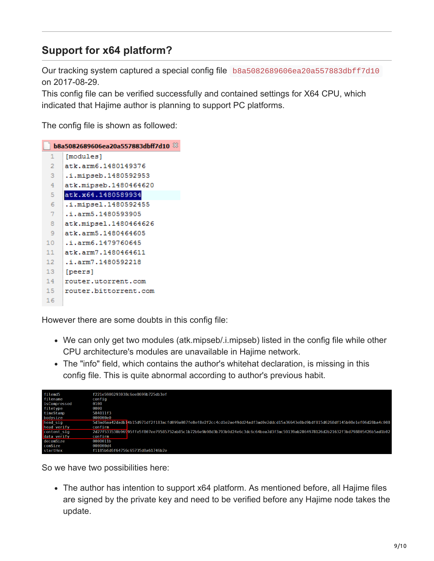## **Support for x64 platform?**

Our tracking system captured a special config file b8a5082689606ea20a557883dbff7d10 on 2017-08-29.

This config file can be verified successfully and contained settings for X64 CPU, which indicated that Hajime author is planning to support PC platforms.

The config file is shown as followed:

| [modules]<br>1<br>$\overline{2}$<br>atk.arm6.1480149376<br>з<br>.i.mipseb.1480592953<br>atk.mipseb.1480464620<br>4<br>atk.x64.1480589934<br>5<br>.i.mipsel.1480592455<br>6<br>7<br>.i.arm5.1480593905<br>atk.mipsel.1480464626<br>8<br>9<br>atk.arm5.1480464605<br>.i.arm6.1479760645<br>10<br>atk.arm7.1480464611<br>11<br>12<br>.i.arm7.1480592218<br>13<br>[peers]<br>14<br>router.utorrent.com<br>15<br>router.bittorrent.com<br>16 | b8a5082689606ea20a557883dbff7d10 $\%$ |  |  |  |
|-----------------------------------------------------------------------------------------------------------------------------------------------------------------------------------------------------------------------------------------------------------------------------------------------------------------------------------------------------------------------------------------------------------------------------------------|---------------------------------------|--|--|--|
|                                                                                                                                                                                                                                                                                                                                                                                                                                         |                                       |  |  |  |
|                                                                                                                                                                                                                                                                                                                                                                                                                                         |                                       |  |  |  |
|                                                                                                                                                                                                                                                                                                                                                                                                                                         |                                       |  |  |  |
|                                                                                                                                                                                                                                                                                                                                                                                                                                         |                                       |  |  |  |
|                                                                                                                                                                                                                                                                                                                                                                                                                                         |                                       |  |  |  |
|                                                                                                                                                                                                                                                                                                                                                                                                                                         |                                       |  |  |  |
|                                                                                                                                                                                                                                                                                                                                                                                                                                         |                                       |  |  |  |
|                                                                                                                                                                                                                                                                                                                                                                                                                                         |                                       |  |  |  |
|                                                                                                                                                                                                                                                                                                                                                                                                                                         |                                       |  |  |  |
|                                                                                                                                                                                                                                                                                                                                                                                                                                         |                                       |  |  |  |
|                                                                                                                                                                                                                                                                                                                                                                                                                                         |                                       |  |  |  |
|                                                                                                                                                                                                                                                                                                                                                                                                                                         |                                       |  |  |  |
|                                                                                                                                                                                                                                                                                                                                                                                                                                         |                                       |  |  |  |
|                                                                                                                                                                                                                                                                                                                                                                                                                                         |                                       |  |  |  |
|                                                                                                                                                                                                                                                                                                                                                                                                                                         |                                       |  |  |  |
|                                                                                                                                                                                                                                                                                                                                                                                                                                         |                                       |  |  |  |

However there are some doubts in this config file:

- We can only get two modules (atk.mipseb/.i.mipseb) listed in the config file while other CPU architecture's modules are unavailable in Hajime network.
- The "info" field, which contains the author's whitehat declaration, is missing in this config file. This is quite abnormal according to author's previous habit.

| filemd5      | f221e5906293038c6ee8699b725db3ef                                                                                                 |
|--------------|----------------------------------------------------------------------------------------------------------------------------------|
| filename     | config                                                                                                                           |
| isCompressed | 0100                                                                                                                             |
| filetype     | 0000                                                                                                                             |
| timeStamp    | 584011f3                                                                                                                         |
| bodysize     | 000000e0                                                                                                                         |
| head sig     | 5d3ad6aa42dadb14b15d971df2f183acfd099a087fe8ef8e2f2cc4cd1e2ae49dd24adf3ad0e2ddcd15a36643e8bd9bdf815d6268df145b08e1ef06d28ba4c008 |
| head verify  | confirm                                                                                                                          |
| content sig  | 2d27f533530b96995ffe5f807ee79585752ab85c1b72b6e9b98d3b793b9d24e6c3dc6c64bea7d3f3ac59139ab2864978126d2b21632f3bd798805426b5ad1b02 |
| data verify  | confirm                                                                                                                          |
| decomSize    | 0000011b                                                                                                                         |
| comSize      | 000000d4                                                                                                                         |
| startHex     | f1185b6d6f64756c65735d0a61746b2e                                                                                                 |

So we have two possibilities here:

The author has intention to support x64 platform. As mentioned before, all Hajime files are signed by the private key and need to be verified before any Hajime node takes the update.